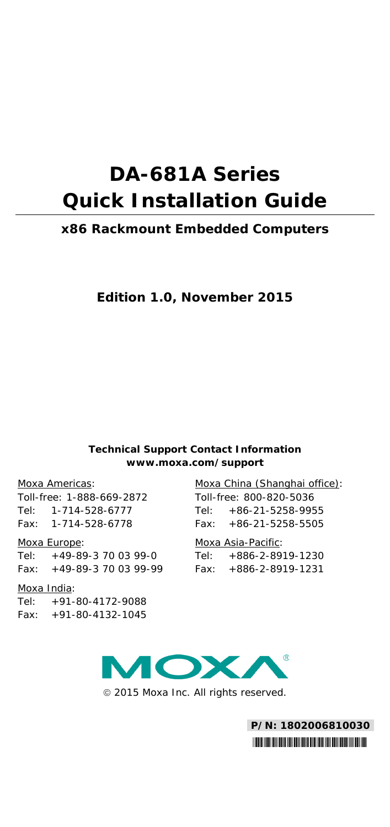# **DA-681A Series Quick Installation Guide**

## **x86 Rackmount Embedded Computers**

## **Edition 1.0, November 2015**

#### **Technical Support Contact Information www.moxa.com/support**

#### Moxa Americas:

Toll-free: 1-888-669-2872 Tel: 1-714-528-6777 Fax: 1-714-528-6778

#### Moxa Europe:

Tel: +49-89-3 70 03 99-0 Fax: +49-89-3 70 03 99-99

#### Moxa India:

Tel: +91-80-4172-9088

Fax: +91-80-4132-1045

## Moxa China (Shanghai office):

Toll-free: 800-820-5036  $Tel: +86-21-5258-9955$ Fax: +86-21-5258-5505

#### Moxa Asia-Pacific:

Tel: +886-2-8919-1230 Fax: +886-2-8919-1231



2015 Moxa Inc. All rights reserved.

**P/N: 1802006810030** \*1802006810030\*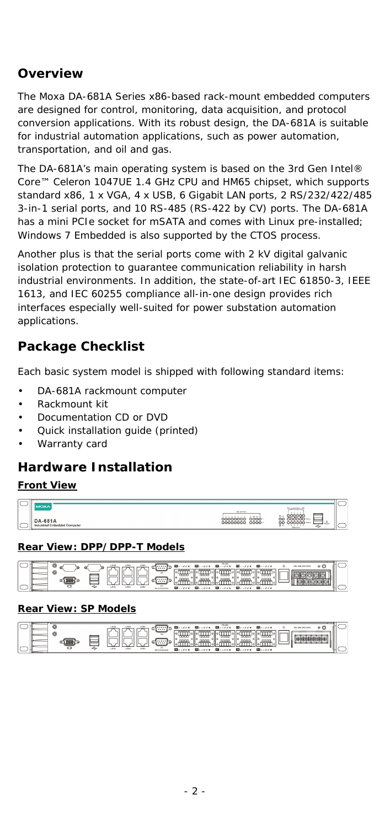# **Overview**

The Moxa DA-681A Series x86-based rack-mount embedded computers are designed for control, monitoring, data acquisition, and protocol conversion applications. With its robust design, the DA-681A is suitable for industrial automation applications, such as power automation, transportation, and oil and gas.

The DA-681A's main operating system is based on the 3rd Gen Intel® Core™ Celeron 1047UE 1.4 GHz CPU and HM65 chipset, which supports standard x86, 1 x VGA, 4 x USB, 6 Gigabit LAN ports, 2 RS/232/422/485 3-in-1 serial ports, and 10 RS-485 (RS-422 by CV) ports. The DA-681A has a mini PCIe socket for mSATA and comes with Linux pre-installed; Windows 7 Embedded is also supported by the CTOS process.

Another plus is that the serial ports come with 2 kV digital galvanic isolation protection to guarantee communication reliability in harsh industrial environments. In addition, the state-of-art IEC 61850-3, IEEE 1613, and IEC 60255 compliance all-in-one design provides rich interfaces especially well-suited for power substation automation applications.

# **Package Checklist**

Each basic system model is shipped with following standard items:

- DA-681A rackmount computer
- Rackmount kit
- Documentation CD or DVD
- Quick installation guide (printed)
- Warranty card

# **Hardware Installation**

#### **Front View**

| $\overline{\phantom{a}}$ |                        |                                 |                                                  |   |
|--------------------------|------------------------|---------------------------------|--------------------------------------------------|---|
|                          |                        |                                 |                                                  | _ |
|                          |                        | <b>Bend Ford</b><br>.           | ó۰                                               |   |
|                          | .001<br>n۸             | oc<br>oooo<br>0000-<br>00000000 | O.C<br>ō٥                                        |   |
| ─                        | rial Embedded Computer |                                 | $\mathcal{L}_{\mathcal{Q}}$<br>$n -$<br>Effected |   |

## **Rear View: DPP/DPP-T Models**

|  |   |    |      | 55,405<br>manager the control theorem<br><b>Mini-</b> 22.00 Min<br>88888 |  |
|--|---|----|------|--------------------------------------------------------------------------|--|
|  | ۰ | v. | dia. | nnnn<br>nnn<br>COL<br><b>M</b> ----<br>$m - 111$                         |  |

#### **Rear View: SP Models**

|  |   |    | 84,655<br>$224$ $\blacksquare$<br>第500 ストランス<br>nnnn<br>pppp<br>nnnn | <b>FR 93 FR FR 5</b> |  |
|--|---|----|----------------------------------------------------------------------|----------------------|--|
|  | Ð | v. | <b>Borea Borea Borea</b>                                             |                      |  |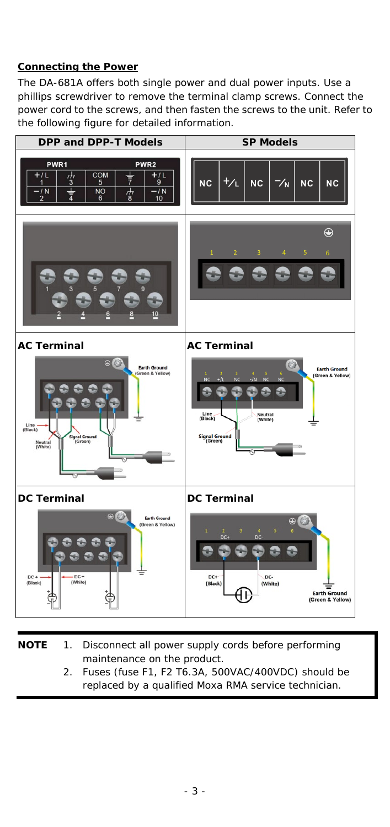## **Connecting the Power**

The DA-681A offers both single power and dual power inputs. Use a phillips screwdriver to remove the terminal clamp screws. Connect the power cord to the screws, and then fasten the screws to the unit. Refer to the following figure for detailed information.



| NOTE | 1. Disconnect all power supply cords before performing |
|------|--------------------------------------------------------|
|      | maintenance on the product.                            |
|      |                                                        |

2. Fuses (fuse F1, F2 T6.3A, 500VAC/400VDC) should be replaced by a qualified Moxa RMA service technician.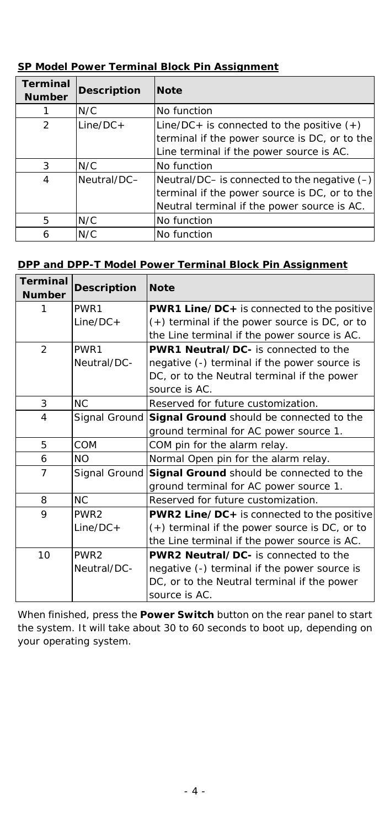| <b>Terminal</b><br><b>Number</b> | <b>Description</b> | <b>Note</b>                                       |  |
|----------------------------------|--------------------|---------------------------------------------------|--|
|                                  | N/C                | No function                                       |  |
| $\mathfrak{D}$                   | $Line/DC +$        | Line/DC+ is connected to the positive $(+)$       |  |
|                                  |                    | terminal if the power source is DC, or to the     |  |
|                                  |                    | Line terminal if the power source is AC.          |  |
| 3                                | N/C                | No function                                       |  |
| 4                                | Neutral/DC-        | Neutral/DC $-$ is connected to the negative $(-)$ |  |
|                                  |                    | terminal if the power source is DC, or to the     |  |
|                                  |                    | Neutral terminal if the power source is AC.       |  |
| 5                                | N/C                | No function                                       |  |
| 6                                | N/C                | No function                                       |  |

## **SP Model Power Terminal Block Pin Assignment**

## **DPP and DPP-T Model Power Terminal Block Pin Assignment**

| <b>Terminal</b><br><b>Number</b> | <b>Description</b> | <b>Note</b>                                     |  |
|----------------------------------|--------------------|-------------------------------------------------|--|
| 1                                | PWR1               | PWR1 Line/DC+ is connected to the positive      |  |
|                                  | $Line/DC +$        | $(+)$ terminal if the power source is DC, or to |  |
|                                  |                    | the Line terminal if the power source is AC.    |  |
| $\overline{2}$                   | PWR1               | <b>PWR1 Neutral/DC-</b> is connected to the     |  |
|                                  | Neutral/DC-        | negative (-) terminal if the power source is    |  |
|                                  |                    | DC, or to the Neutral terminal if the power     |  |
|                                  |                    | source is AC.                                   |  |
| 3                                | <b>NC</b>          | Reserved for future customization.              |  |
| 4                                | Signal Ground      | Signal Ground should be connected to the        |  |
|                                  |                    | ground terminal for AC power source 1.          |  |
| 5                                | COM                | COM pin for the alarm relay.                    |  |
| 6                                | <b>NO</b>          | Normal Open pin for the alarm relay.            |  |
| Signal Ground<br>7               |                    | Signal Ground should be connected to the        |  |
|                                  |                    | ground terminal for AC power source 1.          |  |
| 8                                | <b>NC</b>          | Reserved for future customization.              |  |
| 9                                | PWR <sub>2</sub>   | PWR2 Line/DC+ is connected to the positive      |  |
|                                  | $Line/DC +$        | (+) terminal if the power source is DC, or to   |  |
|                                  |                    | the Line terminal if the power source is AC.    |  |
| 10<br>PWR <sub>2</sub>           |                    | PWR2 Neutral/DC- is connected to the            |  |
|                                  | Neutral/DC-        | negative (-) terminal if the power source is    |  |
|                                  |                    | DC, or to the Neutral terminal if the power     |  |
|                                  |                    | source is AC.                                   |  |

When finished, press the **Power Switch** button on the rear panel to start the system. It will take about 30 to 60 seconds to boot up, depending on your operating system.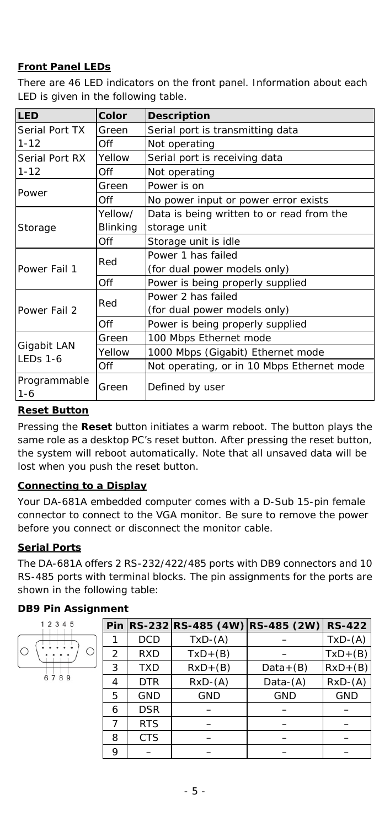## **Front Panel LEDs**

There are 46 LED indicators on the front panel. Information about each LED is given in the following table.

| LED                            | Color                    | <b>Description</b>                         |  |  |
|--------------------------------|--------------------------|--------------------------------------------|--|--|
| Serial Port TX                 | Green                    | Serial port is transmitting data           |  |  |
| $1 - 12$                       | Off                      | Not operating                              |  |  |
| Serial Port RX                 | Yellow                   | Serial port is receiving data              |  |  |
| $1 - 12$                       | Off                      | Not operating                              |  |  |
| Power                          | Green                    | Power is on                                |  |  |
|                                | Off                      | No power input or power error exists       |  |  |
|                                | Yellow/                  | Data is being written to or read from the  |  |  |
| Storage                        | Blinking                 | storage unit                               |  |  |
|                                | Off                      | Storage unit is idle                       |  |  |
|                                | Red                      | Power 1 has failed                         |  |  |
| Power Fail 1                   |                          | (for dual power models only)               |  |  |
|                                | Off                      | Power is being properly supplied           |  |  |
|                                | Red                      | Power 2 has failed                         |  |  |
| Power Fail 2                   |                          | (for dual power models only)               |  |  |
|                                | Off                      | Power is being properly supplied           |  |  |
|                                | Green                    | 100 Mbps Ethernet mode                     |  |  |
| Gigabit LAN<br><b>LEDs 1-6</b> | Yellow                   | 1000 Mbps (Gigabit) Ethernet mode          |  |  |
|                                | Off                      | Not operating, or in 10 Mbps Ethernet mode |  |  |
| Programmable<br>$1 - 6$        | Defined by user<br>Green |                                            |  |  |

#### **Reset Button**

Pressing the **Reset** button initiates a warm reboot. The button plays the same role as a desktop PC's reset button. After pressing the reset button, the system will reboot automatically. Note that all unsaved data will be lost when you push the reset button.

#### **Connecting to a Display**

Your DA-681A embedded computer comes with a D-Sub 15-pin female connector to connect to the VGA monitor. Be sure to remove the power before you connect or disconnect the monitor cable.

## **Serial Ports**

The DA-681A offers 2 RS-232/422/485 ports with DB9 connectors and 10 RS-485 ports with terminal blocks. The pin assignments for the ports are shown in the following table:

## *DB9 Pin Assignment*

| 12345 |  |
|-------|--|
|       |  |
| 789   |  |

|                |            | Pin RS-232 RS-485 (4W) RS-485 (2W) |             | <b>RS-422</b> |
|----------------|------------|------------------------------------|-------------|---------------|
|                | <b>DCD</b> | $TxD-(A)$                          |             | $TxD-(A)$     |
| $\overline{2}$ | <b>RXD</b> | $TxD+(B)$                          |             | $TxD+(B)$     |
| 3              | <b>TXD</b> | $RxD+(B)$                          | $Data+(B)$  | $RxD+(B)$     |
| 4              | <b>DTR</b> | $RxD-(A)$                          | Data- $(A)$ | $RxD-(A)$     |
| 5              | <b>GND</b> | <b>GND</b>                         | <b>GND</b>  | <b>GND</b>    |
| 6              | <b>DSR</b> |                                    |             |               |
|                | <b>RTS</b> |                                    |             |               |
| 8              | <b>CTS</b> |                                    |             |               |
| 9              |            |                                    |             |               |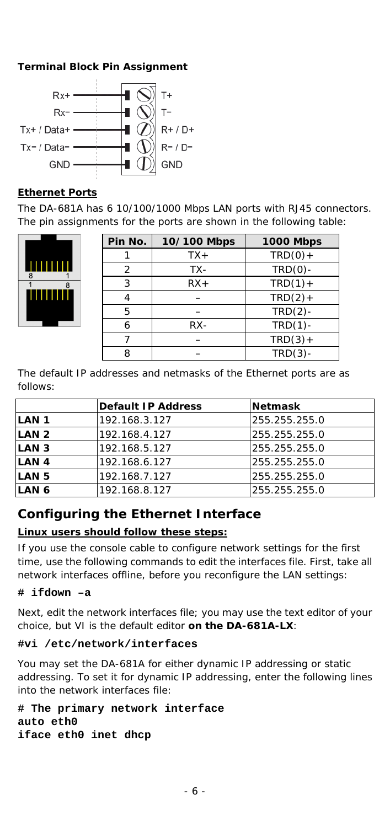## *Terminal Block Pin Assignment*



#### **Ethernet Ports**

The DA-681A has 6 10/100/1000 Mbps LAN ports with RJ45 connectors. The pin assignments for the ports are shown in the following table:



| Pin No.        | 10/100 Mbps | <b>1000 Mbps</b> |
|----------------|-------------|------------------|
|                | $TX+$       | $TRD(0) +$       |
| $\overline{2}$ | TX-         | $TRD(0)$ -       |
| 3              | $RX+$       | $TRD(1) +$       |
|                |             | $TRD(2) +$       |
| 5              |             | $TRD(2)$ -       |
| 6              | RX-         | $TRD(1)$ -       |
|                |             | $TRD(3) +$       |
| o              |             | $TRD(3)$ -       |

The default IP addresses and netmasks of the Ethernet ports are as follows:

|                  | Default IP Address | <b>Netmask</b> |
|------------------|--------------------|----------------|
| LAN <sub>1</sub> | 192.168.3.127      | 255.255.255.0  |
| LAN <sub>2</sub> | 192.168.4.127      | 255.255.255.0  |
| LAN <sub>3</sub> | 192.168.5.127      | 255.255.255.0  |
| LAN <sub>4</sub> | 192.168.6.127      | 255.255.255.0  |
| LAN <sub>5</sub> | 192.168.7.127      | 255.255.255.0  |
| LAN 6            | 192.168.8.127      | 255.255.255.0  |

## **Configuring the Ethernet Interface**

## **Linux users should follow these steps:**

If you use the console cable to configure network settings for the first time, use the following commands to edit the interfaces file. First, take all network interfaces offline, before you reconfigure the LAN settings:

## **# ifdown –a**

Next, edit the network interfaces file; you may use the text editor of your choice, but VI is the default editor **on the DA-681A-LX**:

#### **#vi /etc/network/interfaces**

You may set the DA-681A for either dynamic IP addressing or static addressing. To set it for dynamic IP addressing, enter the following lines into the network interfaces file:

**# The primary network interface auto eth0 iface eth0 inet dhcp**